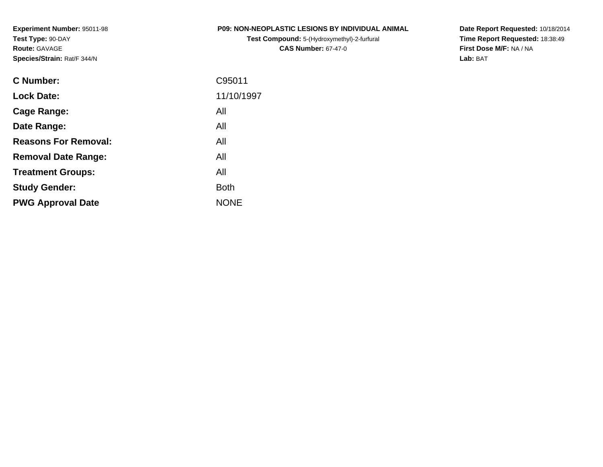**Experiment Number:** 95011-98**Test Type:** 90-DAY**Route:** GAVAGE**Species/Strain:** Rat/F 344/N

# **P09: NON-NEOPLASTIC LESIONS BY INDIVIDUAL ANIMAL**

**Test Compound:** 5-(Hydroxymethyl)-2-furfural **CAS Number:** 67-47-0

**Date Report Requested:** 10/18/2014 **Time Report Requested:** 18:38:49**First Dose M/F:** NA / NA**Lab:** BAT

| <b>C</b> Number:            | C95011      |
|-----------------------------|-------------|
| <b>Lock Date:</b>           | 11/10/1997  |
| Cage Range:                 | All         |
| Date Range:                 | All         |
| <b>Reasons For Removal:</b> | All         |
| <b>Removal Date Range:</b>  | All         |
| <b>Treatment Groups:</b>    | All         |
| <b>Study Gender:</b>        | <b>Both</b> |
| <b>PWG Approval Date</b>    | <b>NONE</b> |
|                             |             |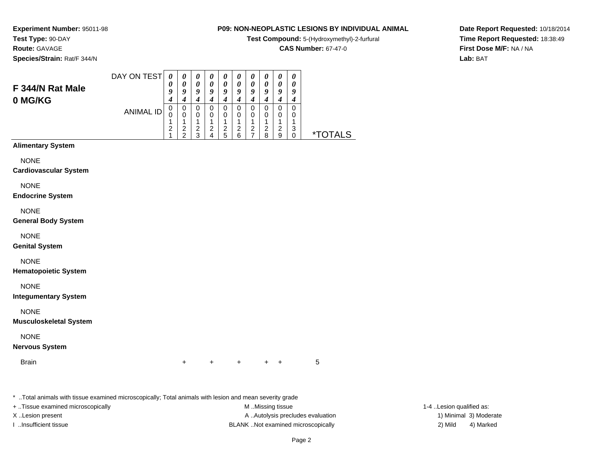**Test Compound:** 5-(Hydroxymethyl)-2-furfural

**CAS Number:** 67-47-0

**Date Report Requested:** 10/18/2014**Time Report Requested:** 18:38:49**First Dose M/F:** NA / NA**Lab:** BAT

**Experiment Number:** 95011-98**Test Type:** 90-DAY**Route:** GAVAGE**Species/Strain:** Rat/F 344/N

| Male | DAY ON TEST | 0<br>$\boldsymbol{\mathit{U}}$ | 0<br>0      | U<br>0 | $\boldsymbol{\theta}$<br>0 | U<br>0      | $\theta$<br>0 | $\boldsymbol{\theta}$<br>0 | $\boldsymbol{\theta}$<br>$\theta$ | U<br>0      | 0<br>0      |
|------|-------------|--------------------------------|-------------|--------|----------------------------|-------------|---------------|----------------------------|-----------------------------------|-------------|-------------|
|      |             | 9<br>4<br>U                    | 9<br>4<br>0 | 9<br>0 | 9<br>0                     | v<br>0      | 9<br>4<br>0   | 9<br>4<br>0                | 9<br>0                            | 9<br>0      | 9<br>4<br>0 |
|      | ANIMAL ID   | U                              | 0           | 0      | 0                          | 0           | 0<br>◢        | 0<br>л                     | 0<br>л                            | U           | 0<br>и      |
|      |             | ◠                              | 2<br>ີ      | ົ<br>ົ | 2                          | ◠<br>∠<br>5 | 2<br>6        | 2                          | 2<br>8                            | ົ<br>∠<br>9 | 3           |

# **Alimentary System**

**F 344/N Rat 0 MG/KG**

**NONE** 

**Cardiovascular System**

NONE

**Endocrine System**

NONE

**General Body System**

NONE

**Genital System**

NONE

**Hematopoietic System**

NONE

**Integumentary System**

NONE

**Musculoskeletal System**

NONE

**Nervous System**

**Brain** 

n  $+$ <sup>+</sup> <sup>+</sup> <sup>+</sup> + 5

\* ..Total animals with tissue examined microscopically; Total animals with lesion and mean severity grade

+ ..Tissue examined microscopically examined microscopically examined as:  $M$  ..Missing tissue 1-4 ..Lesion qualified as: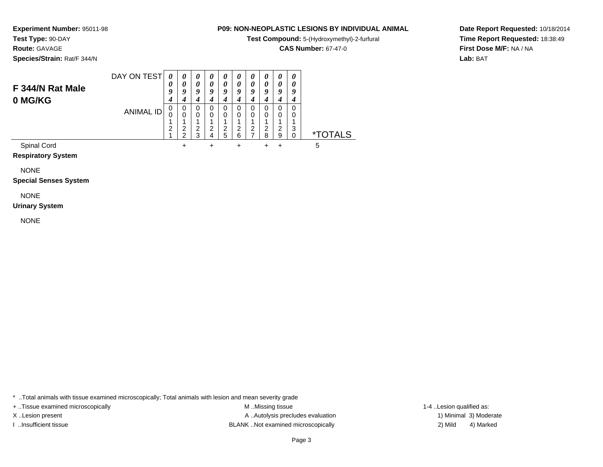**Test Compound:** 5-(Hydroxymethyl)-2-furfural

**CAS Number:** 67-47-0

**Date Report Requested:** 10/18/2014**Time Report Requested:** 18:38:49**First Dose M/F:** NA / NA**Lab:** BAT

**Experiment Number:** 95011-98**Test Type:** 90-DAY**Route:** GAVAGE**Species/Strain:** Rat/F 344/N

| F 344/N Rat Male<br>0 MG/KG | DAY ON TEST | 0<br>0<br>9<br>4 | $\boldsymbol{\theta}$<br>0<br>9 | $\boldsymbol{\theta}$<br>0<br>9<br>4 | $\boldsymbol{\theta}$<br>0<br>9<br>4 | $\boldsymbol{\theta}$<br>0<br>9<br>4 | $\boldsymbol{\theta}$<br>0<br>Q | $\theta$<br>$\boldsymbol{\theta}$<br>9<br>4 | 0<br>0<br>Q      | 0<br>0<br>9      | 0<br>0<br>9      |                       |
|-----------------------------|-------------|------------------|---------------------------------|--------------------------------------|--------------------------------------|--------------------------------------|---------------------------------|---------------------------------------------|------------------|------------------|------------------|-----------------------|
|                             | ANIMAL ID   | 0<br>2           | 0<br>0<br>ົ<br>◠                | 0<br>0<br>2<br>2                     | 0<br>0<br>2                          | 0<br>0<br>2<br>5                     | 0<br>0<br>2<br>6                | 0<br>$\Omega$<br>2                          | 0<br>0<br>2<br>8 | 0<br>0<br>2<br>9 | 0<br>0<br>3<br>0 | <i><b>*TOTALS</b></i> |
| Spinal Cord                 |             |                  |                                 |                                      | ٠                                    |                                      |                                 |                                             |                  |                  |                  | 5                     |

**Respiratory System**

NONE

**Special Senses System**

NONE

**Urinary System**

NONE

\* ..Total animals with tissue examined microscopically; Total animals with lesion and mean severity grade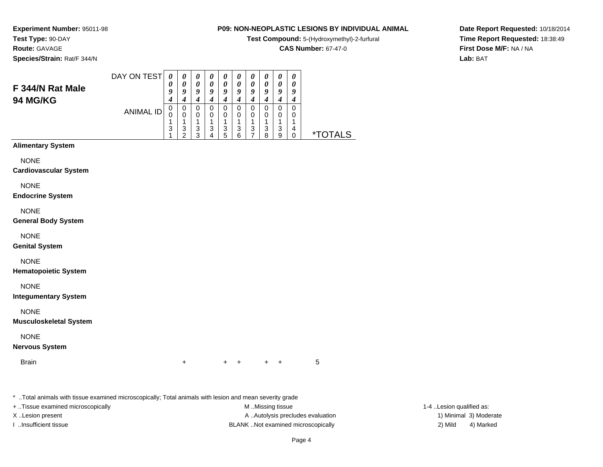**Test Compound:** 5-(Hydroxymethyl)-2-furfural

**CAS Number:** 67-47-0

**Date Report Requested:** 10/18/2014**Time Report Requested:** 18:38:49**First Dose M/F:** NA / NA**Lab:** BAT

**Experiment Number:** 95011-98**Test Type:** 90-DAY**Route:** GAVAGE**Species/Strain:** Rat/F 344/N

| F 344/N Rat Male<br><b>94 MG/KG</b> | DAY ON TEST | 0<br>0<br>g | $\boldsymbol{\theta}$<br>O | $\theta$<br>0<br>9 | U<br>0<br>o | 0<br>0<br>9<br>4 | U<br>$\boldsymbol{\theta}$<br>0 | $\boldsymbol{\theta}$<br>0<br>9<br>4 | $\boldsymbol{\theta}$<br>$\boldsymbol{\theta}$<br>Q | $\boldsymbol{\theta}$<br>0<br>9<br>4 | 0<br>0<br>Q<br>4 |                       |
|-------------------------------------|-------------|-------------|----------------------------|--------------------|-------------|------------------|---------------------------------|--------------------------------------|-----------------------------------------------------|--------------------------------------|------------------|-----------------------|
|                                     | ANIMAL ID   | 0<br>U<br>3 | 0<br>3                     | 0<br>0<br>3        | O<br>3      | 0<br>0<br>3      | 3                               | 0<br>3                               | 3                                                   | 0<br>0<br>3                          | 0<br>0<br>4      |                       |
|                                     |             |             | ◠                          | າ                  |             | 5                | 6                               |                                      | я                                                   | 9                                    |                  | TAI S<br>$\mathbf{x}$ |

# **Alimentary System**

**NONE** 

**Cardiovascular System**

NONE

**Endocrine System**

NONE

**General Body System**

NONE

**Genital System**

NONE

**Hematopoietic System**

NONE

**Integumentary System**

NONE

**Musculoskeletal System**

NONE

**Nervous System**

**Brain** n  $+$ 

<sup>+</sup> <sup>+</sup> <sup>+</sup> + 5

\* ..Total animals with tissue examined microscopically; Total animals with lesion and mean severity grade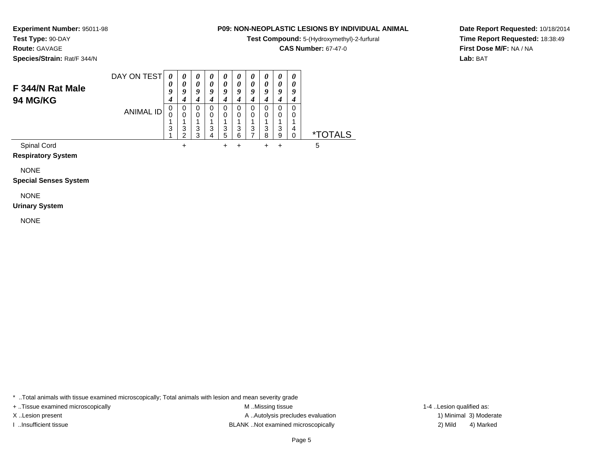**Test Compound:** 5-(Hydroxymethyl)-2-furfural

**CAS Number:** 67-47-0

**Date Report Requested:** 10/18/2014**Time Report Requested:** 18:38:49**First Dose M/F:** NA / NA**Lab:** BAT

**Experiment Number:** 95011-98**Test Type:** 90-DAY**Route:** GAVAGE**Species/Strain:** Rat/F 344/N

| F 344/N Rat Male<br><b>94 MG/KG</b> | DAY ON TEST | 0<br>0<br>9<br>4 | 0<br>0<br>9      | $\boldsymbol{\theta}$<br>0<br>9 | $\boldsymbol{\theta}$<br>0<br>0 | $\boldsymbol{\theta}$<br>0<br>9<br>4 | $\boldsymbol{\theta}$<br>0<br>9 | $\boldsymbol{\theta}$<br>$\boldsymbol{\theta}$<br>9<br>4 | $\boldsymbol{\theta}$<br>0<br>Q | 0<br>0<br>9      | 0<br>0<br>q      |                       |
|-------------------------------------|-------------|------------------|------------------|---------------------------------|---------------------------------|--------------------------------------|---------------------------------|----------------------------------------------------------|---------------------------------|------------------|------------------|-----------------------|
|                                     | ANIMAL ID   | 0<br>3           | 0<br>0<br>3<br>◠ | 0<br>3<br>ว                     | 3                               | 0<br>0<br>3<br>5                     | 0<br>0<br>3<br>6                | 0<br>0<br>3                                              | 0<br>3<br>я                     | 0<br>0<br>3<br>9 | 0<br>0<br>4<br>0 | <i><b>*TOTALS</b></i> |
| <b>Spinal Cord</b>                  |             |                  |                  |                                 |                                 |                                      |                                 |                                                          |                                 |                  |                  | 5                     |

**Respiratory System**

NONE

**Special Senses System**

NONE

**Urinary System**

NONE

\* ..Total animals with tissue examined microscopically; Total animals with lesion and mean severity grade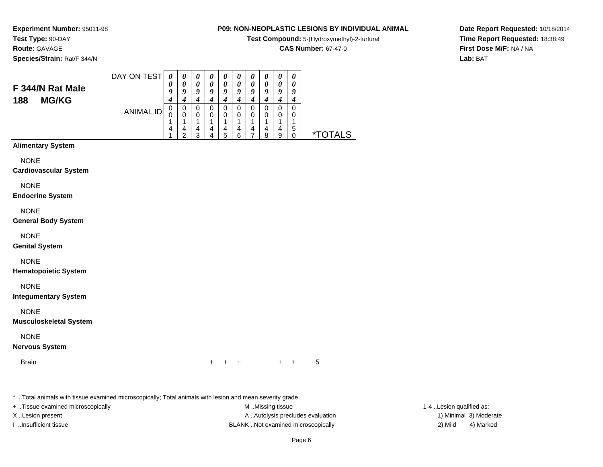**Test Compound:** 5-(Hydroxymethyl)-2-furfural

**CAS Number:** 67-47-0

**Date Report Requested:** 10/18/2014**Time Report Requested:** 18:38:49**First Dose M/F:** NA / NA**Lab:** BAT

**Experiment Number:** 95011-98**Test Type:** 90-DAY**Route:** GAVAGE**Species/Strain:** Rat/F 344/N

### DAY ON TEST**F 344/N Rat Male**ANIMAL ID*0 0 9 4* 0 0 1 4 1*0 0 9 4* 0 0 1 4 2*0 0 9 4* 0 0 1 4 3*0 0 9 4* 0 0 1 4 4*0 0 9 4* 0 0 1 4 5*0 0 9 4* 0 0 1 4 6*0 0 9 4* 0 0 1 4 7*0 0 9 4* 0 0 1 4 8*0 0 9 4* 0 0 1 4 9*0 0 9 4* 0 0 1 5 $\check{\mathrm{o}}$ 0 \*TOTALS

# **Alimentary System**

**188 MG/KG**

**NONE** 

## **Cardiovascular System**

NONE

## **Endocrine System**

NONE

## **General Body System**

NONE

## **Genital System**

NONE

## **Hematopoietic System**

NONE

## **Integumentary System**

NONE

## **Musculoskeletal System**

NONE

## **Nervous System**

**Brain** 

n  $+$ <sup>+</sup> <sup>+</sup> <sup>+</sup> + 5

\* ..Total animals with tissue examined microscopically; Total animals with lesion and mean severity grade

+ ..Tissue examined microscopically examined microscopically examined as: M ..Missing tissue 1-4 ..Lesion qualified as: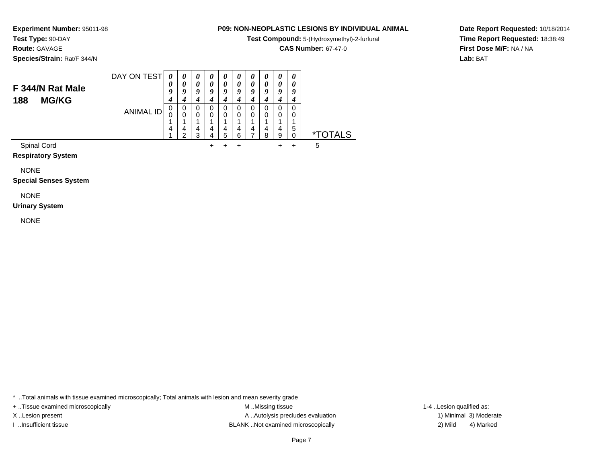**Test Compound:** 5-(Hydroxymethyl)-2-furfural

**CAS Number:** 67-47-0

**Date Report Requested:** 10/18/2014**Time Report Requested:** 18:38:49**First Dose M/F:** NA / NA**Lab:** BAT

**Test Type:** 90-DAY**Route:** GAVAGE**Species/Strain:** Rat/F 344/N

**Experiment Number:** 95011-98

### DAY ON TEST**F 344/N Rat Male188 MG/KG**ANIMAL ID*0 0 9 4* 0 0 1 4 1*0 0 9 4* 0 0 1 4 2*0 0 9 4* 0 0 1 4 3*0 0 9 4* 0 0 1 4 4 $+$ *0 0 9 4* 0 0 1 4 5 $\ddot{}$ *0 0 9 4* 0 0 1 4 6 $\ddot{}$ *0 0 9 4* 0 0 1 4 7*0 0 9 4* 0 0 1 4 8*0 0 9 4* 0 0 1 4 9 $+$ *0 0 9 4* 0 0 1 5 $\check{\mathrm{o}}$ 0 \*TOTALSSpinal Cord $\alpha$ <sup>+</sup> <sup>+</sup> <sup>+</sup> + 5

**Respiratory System**

NONE

**Special Senses System**

# NONE

**Urinary System**

NONE

\* ..Total animals with tissue examined microscopically; Total animals with lesion and mean severity grade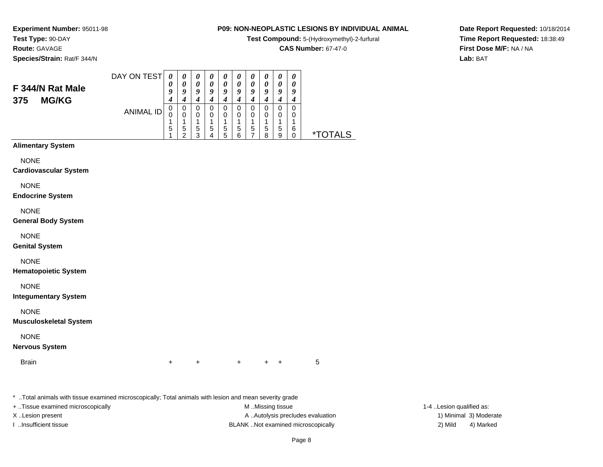**Test Compound:** 5-(Hydroxymethyl)-2-furfural

**CAS Number:** 67-47-0

**Date Report Requested:** 10/18/2014**Time Report Requested:** 18:38:49**First Dose M/F:** NA / NA**Lab:** BAT

**Experiment Number:** 95011-98**Test Type:** 90-DAY**Route:** GAVAGE**Species/Strain:** Rat/F 344/N

| F 344/N Rat Male<br><b>MG/KG</b><br>375 | DAY ON TEST | 0<br>0<br>9 | 0<br>0<br>$\boldsymbol{0}$ | U<br>0<br>9 | $\boldsymbol{U}$<br>$\boldsymbol{\theta}$<br>о | $\boldsymbol{\theta}$<br>0<br>9 | U<br>$\boldsymbol{\theta}$<br>g | $\boldsymbol{\theta}$<br>0<br>9 | $\prime$<br>O<br>q | 0<br>0<br>9 | 0<br>0<br>Q |    |
|-----------------------------------------|-------------|-------------|----------------------------|-------------|------------------------------------------------|---------------------------------|---------------------------------|---------------------------------|--------------------|-------------|-------------|----|
|                                         | ANIMAL ID   | U<br>U      | 0<br>0                     | 0           |                                                | 0<br>0                          | 0<br>0                          | 0<br>0                          | O                  | 0<br>0      | 0<br>0      |    |
|                                         |             | 5           | 5                          | 5<br>◠      | 5                                              | 5<br>5                          | 5                               | 5                               | <sub>5</sub><br>ິດ | 5<br>9      | 6           | ×. |

# **Alimentary System**

NONE

**Cardiovascular System**

NONE

**Endocrine System**

NONE

**General Body System**

NONE

**Genital System**

NONE

**Hematopoietic System**

NONE

**Integumentary System**

NONE

**Musculoskeletal System**

NONE

**Nervous System**

**Brain** 

n  $+$ <sup>+</sup> <sup>+</sup> <sup>+</sup> + 5

\* ..Total animals with tissue examined microscopically; Total animals with lesion and mean severity grade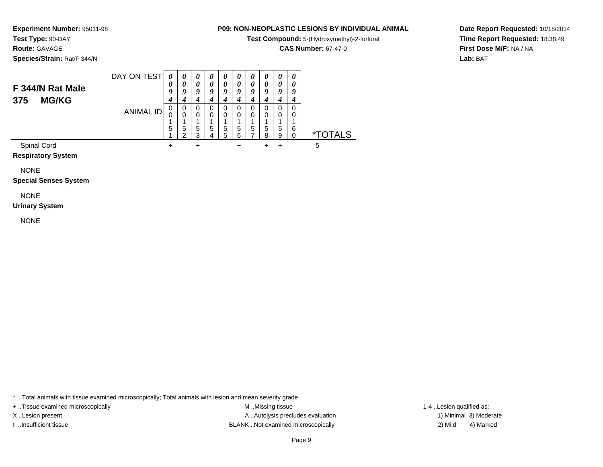**Test Compound:** 5-(Hydroxymethyl)-2-furfural

**CAS Number:** 67-47-0

**Date Report Requested:** 10/18/2014**Time Report Requested:** 18:38:49**First Dose M/F:** NA / NA**Lab:** BAT

**Experiment Number:** 95011-98**Test Type:** 90-DAY**Route:** GAVAGE**Species/Strain:** Rat/F 344/N

### DAY ON TEST**F 344/N Rat Male375 MG/KG**ANIMAL ID*0 0 9 4* 0 0 1 5 1 $\ddot{}$ *0 0 9 4* 0 0 1 5 2*0 0 9 4* 0 0 1 5 3 $\ddot{}$ *0 0 9 4* 0 0 1 5 4*0 0 9 4* 0 0 1 5 5*0 0 9 4* 0 0 1 5 6 $\ddot{}$ *0 0 9 4* 0 0 1 5 7*0 0 9 4* 0 0 1 5 8 $+$ *0 0 9 4* 0 0 1 5 9 $\ddot{}$ *0 0 9 4* 0 0 1 6 $\check{\mathrm{o}}$ \*TOTALS Spinal Cord $\alpha$  + <sup>+</sup> <sup>+</sup> <sup>+</sup> + 5

**Respiratory System**

NONE

**Special Senses System**

# NONE

**Urinary System**

NONE

\* ..Total animals with tissue examined microscopically; Total animals with lesion and mean severity grade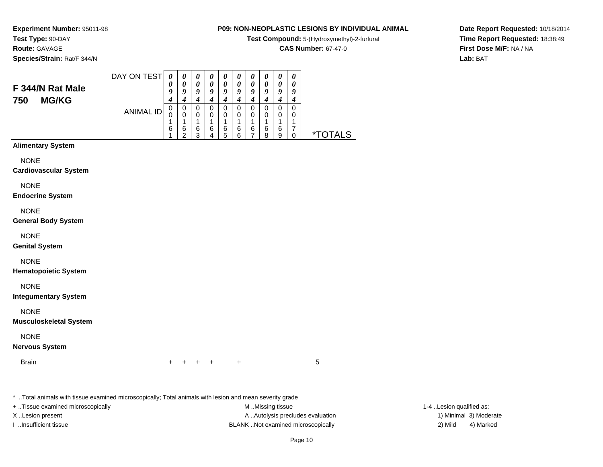**Test Compound:** 5-(Hydroxymethyl)-2-furfural

**CAS Number:** 67-47-0

**Date Report Requested:** 10/18/2014**Time Report Requested:** 18:38:49**First Dose M/F:** NA / NA**Lab:** BAT

**Experiment Number:** 95011-98**Test Type:** 90-DAY**Route:** GAVAGE**Species/Strain:** Rat/F 344/N

| F 344/N Rat Male<br><b>MG/KG</b><br>750 | DAY ON TEST | 0<br>0<br>9 | $\boldsymbol{\theta}$<br>0<br>$\boldsymbol{0}$ | $\boldsymbol{\theta}$<br>0<br>9 | $\boldsymbol{U}$<br>ο | $\boldsymbol{\theta}$<br>0<br>9 | U<br>$\theta$<br>9 | $\boldsymbol{\theta}$<br>0<br>9 | $\boldsymbol{\theta}$<br>0<br>o | 0<br>0<br>q      | 0<br>0<br>9 |           |
|-----------------------------------------|-------------|-------------|------------------------------------------------|---------------------------------|-----------------------|---------------------------------|--------------------|---------------------------------|---------------------------------|------------------|-------------|-----------|
|                                         | ANIMAL ID   | U<br>U<br>6 | 0<br>0<br>6                                    | 0<br>6<br>っ                     | 6                     | 0<br>0<br>6<br>5                | 0<br>0<br>6        | 0<br>0<br>6                     | 6<br>ິດ                         | 0<br>0<br>6<br>9 | 0<br>0      | ×.<br>ALS |

**Alimentary System**

NONE

**Cardiovascular System**

NONE

**Endocrine System**

NONE

**General Body System**

NONE

**Genital System**

NONE

**Hematopoietic System**

NONE

**Integumentary System**

NONE

**Musculoskeletal System**

NONE

**Nervous System**

**Brain** n  $+$ 

<sup>+</sup> <sup>+</sup> <sup>+</sup> + 5

\* ..Total animals with tissue examined microscopically; Total animals with lesion and mean severity grade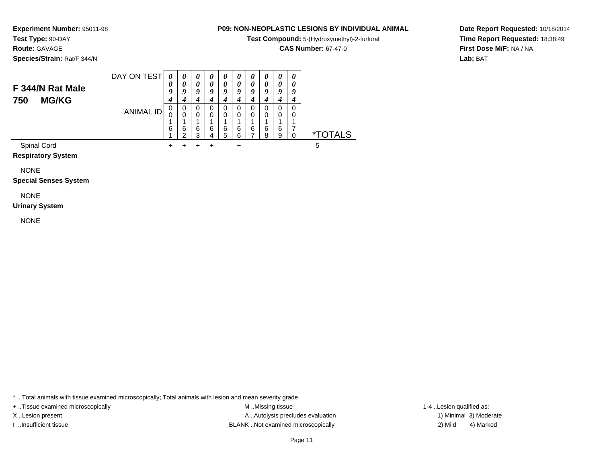**Test Compound:** 5-(Hydroxymethyl)-2-furfural

**CAS Number:** 67-47-0

**Date Report Requested:** 10/18/2014**Time Report Requested:** 18:38:49**First Dose M/F:** NA / NA**Lab:** BAT

**Test Type:** 90-DAY**Route:** GAVAGE**Species/Strain:** Rat/F 344/N

**Experiment Number:** 95011-98

### DAY ON TEST**F 344/N Rat Male750 MG/KG**ANIMAL ID*0 0 9 4* 0 0 1 6 1 $+$ *0 0 9 4* 0 0 1 6 2 $\pm$ *0 0 9 4* 0 0 1 6 3 $\ddot{}$ *0 0 9 4* 0 0 1 6 4 $\ddot{}$ *0 0 9 4* 0 0 1 6 5*0 0 9 4* 0 0 1 6 6 $\ddot{}$ *0 0 9 4* 0 0 1 6 7*0 0 9 4* 0 0 1 6 8*0 0 9 4* 0 0 1 6 9*0 0 9 4* 0 0 1 7 $\dot{0}$ 0 \*TOTALSSpinal Cord $\alpha$  + <sup>+</sup> <sup>+</sup> <sup>+</sup> + 5

**Respiratory System**

NONE

**Special Senses System**

# NONE

**Urinary System**

NONE

\* ..Total animals with tissue examined microscopically; Total animals with lesion and mean severity grade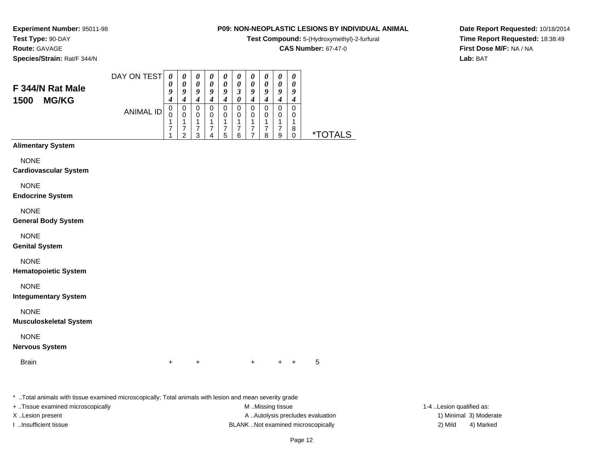**Test Compound:** 5-(Hydroxymethyl)-2-furfural

**CAS Number:** 67-47-0

**Date Report Requested:** 10/18/2014**Time Report Requested:** 18:38:49**First Dose M/F:** NA / NA**Lab:** BAT

**Experiment Number:** 95011-98**Test Type:** 90-DAY**Route:** GAVAGE**Species/Strain:** Rat/F 344/N

| F 344/N Rat Male<br><b>MG/KG</b><br>1500 | DAY ON TEST | $\boldsymbol{\theta}$<br>υ<br>ч<br>4 | $\boldsymbol{\theta}$<br>a | U<br>Q      | o           | O           | 3      | U<br>Q | U<br>o | $\boldsymbol{\theta}$<br>0<br>9 | U<br>$\boldsymbol{\theta}$<br>a |    |
|------------------------------------------|-------------|--------------------------------------|----------------------------|-------------|-------------|-------------|--------|--------|--------|---------------------------------|---------------------------------|----|
|                                          | ANIMAL ID   | υ<br>U                               | 0<br>0<br>◠                | 0<br>0<br>3 | U<br>0<br>4 | O<br>0<br>5 | 0<br>հ | O<br>0 | 0<br>o | $\Omega$<br>0<br>9              | 8                               | ∗⊤ |

# **Alimentary System**

NONE

**Cardiovascular System**

NONE

**Endocrine System**

NONE

**General Body System**

NONE

**Genital System**

NONE

**Hematopoietic System**

NONE

**Integumentary System**

NONE

**Musculoskeletal System**

NONE

**Nervous System**

**Brain** n  $+$ 

<sup>+</sup> <sup>+</sup> <sup>+</sup> + 5

\* ..Total animals with tissue examined microscopically; Total animals with lesion and mean severity grade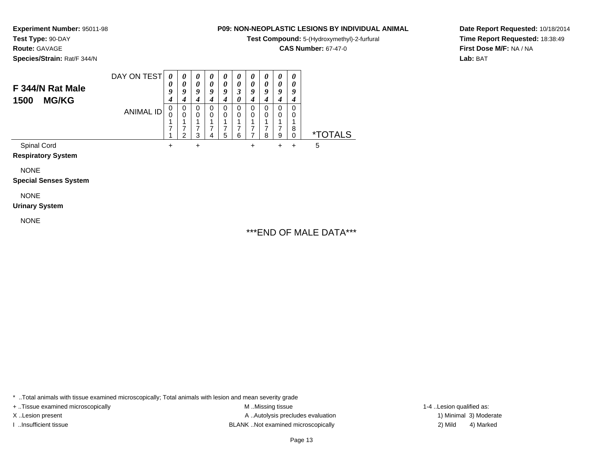**Test Compound:** 5-(Hydroxymethyl)-2-furfural

**CAS Number:** 67-47-0

**Date Report Requested:** 10/18/2014**Time Report Requested:** 18:38:49**First Dose M/F:** NA / NA**Lab:** BAT

**Experiment Number:** 95011-98**Test Type:** 90-DAY**Route:** GAVAGE**Species/Strain:** Rat/F 344/N

| F 344/N Rat Male<br><b>MG/KG</b><br>1500 | DAY ON TEST | 0<br>$\boldsymbol{\theta}$<br>9<br>4 | $\theta$<br>0<br>9 | $\theta$<br>$\theta$<br>9 | $\boldsymbol{\theta}$<br>0<br>9 | 0<br>0<br>9      | $\boldsymbol{\theta}$<br>0 | $\boldsymbol{\theta}$<br>0<br>9<br>4 | $\boldsymbol{\theta}$<br>0<br>v | $\boldsymbol{\theta}$<br>0<br>9 | 0<br>o      |                       |
|------------------------------------------|-------------|--------------------------------------|--------------------|---------------------------|---------------------------------|------------------|----------------------------|--------------------------------------|---------------------------------|---------------------------------|-------------|-----------------------|
|                                          | ANIMAL ID   | 0                                    | 0<br>0<br>◠        | 0<br>$\Omega$<br>2        | 0<br>0<br>4                     | 0<br>0<br>–<br>5 | 0<br>0<br>6                | 0<br>0<br>⇁                          | 0<br>0<br>8                     | 0<br>0<br>⇁<br>9                | 0<br>0<br>8 | <i><b>*TOTALS</b></i> |
| Spinal Cord                              |             | ٠                                    |                    | +                         |                                 |                  |                            |                                      |                                 |                                 |             | 5                     |

**Respiratory System**

NONE

**Special Senses System**

# NONE

**Urinary System**

NONE

# \*\*\*END OF MALE DATA\*\*\*

\* ..Total animals with tissue examined microscopically; Total animals with lesion and mean severity grade

+ ..Tissue examined microscopically examined microscopically examined as:  $M$  ..Missing tissue 1-4 ..Lesion qualified as: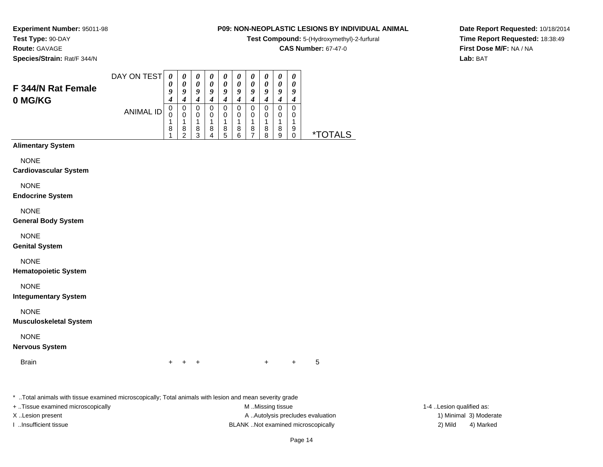**Test Compound:** 5-(Hydroxymethyl)-2-furfural

**CAS Number:** 67-47-0

**Date Report Requested:** 10/18/2014**Time Report Requested:** 18:38:49**First Dose M/F:** NA / NA**Lab:** BAT

**Experiment Number:** 95011-98**Test Type:** 90-DAY**Route:** GAVAGE**Species/Strain:** Rat/F 344/N

| F 344/N Rat Female<br>0 MG/KG | DAY ON TEST | 0<br>U<br>ч | $\boldsymbol{\theta}$<br>a | 0<br>Q           | U<br>o | $\boldsymbol{\theta}$<br>Q | $\boldsymbol{\theta}$<br>a | U<br>о      | U<br>o      | 0<br>0<br>9      | $\boldsymbol{\theta}$<br>U<br>o |             |
|-------------------------------|-------------|-------------|----------------------------|------------------|--------|----------------------------|----------------------------|-------------|-------------|------------------|---------------------------------|-------------|
|                               | ANIMAL ID   | υ<br>8      | U<br>0<br>8<br>◠           | 0<br>0<br>8<br>ว | O<br>8 | O<br>0<br>8<br>5           | 8<br>հ                     | O<br>0<br>8 | U<br>8<br>o | 0<br>0<br>8<br>9 | 9                               | ∗⊤<br>TAI S |

# **Alimentary System**

NONE

### **Cardiovascular System**

NONE

### **Endocrine System**

NONE

### **General Body System**

NONE

## **Genital System**

NONE

## **Hematopoietic System**

NONE

## **Integumentary System**

NONE

## **Musculoskeletal System**

NONE

## **Nervous System**

**Brain** 

n  $+$ <sup>+</sup> <sup>+</sup> <sup>+</sup> + 5

\* ..Total animals with tissue examined microscopically; Total animals with lesion and mean severity grade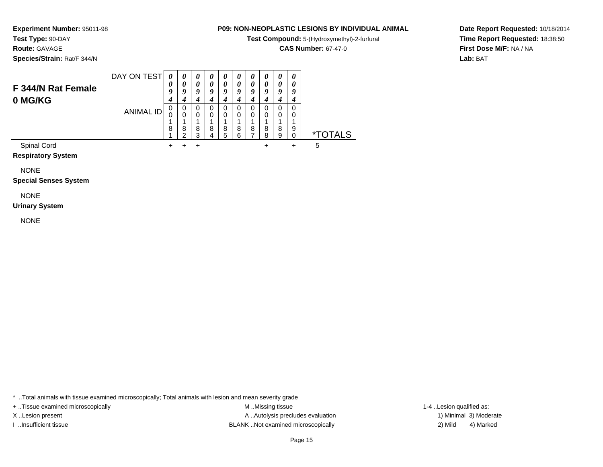**Test Compound:** 5-(Hydroxymethyl)-2-furfural

**CAS Number:** 67-47-0

**Date Report Requested:** 10/18/2014**Time Report Requested:** 18:38:50**First Dose M/F:** NA / NA**Lab:** BAT

**Test Type:** 90-DAY**Route:** GAVAGE

**Experiment Number:** 95011-98

**Species/Strain:** Rat/F 344/N

| F 344/N Rat Female<br>0 MG/KG | DAY ON TEST | 0<br>$\boldsymbol{\theta}$<br>9<br>4 | $\theta$<br>$\boldsymbol{\theta}$<br>9 | $\theta$<br>0<br>9 | 0<br>0<br>9      | 0<br>0<br>9      | 0<br>0<br>9      | $\boldsymbol{\theta}$<br>0<br>9 | 0<br>Q | 0<br>9 | $\boldsymbol{\theta}$<br>Y |                       |
|-------------------------------|-------------|--------------------------------------|----------------------------------------|--------------------|------------------|------------------|------------------|---------------------------------|--------|--------|----------------------------|-----------------------|
|                               | ANIMAL ID   | 8                                    | 0<br>0<br>8<br>ົ                       | 0<br>0<br>8<br>3   | 0<br>0<br>8<br>4 | 0<br>0<br>8<br>5 | 0<br>0<br>8<br>6 | 0<br>0<br>л<br>8<br>⇁           | 8<br>8 | 8<br>9 | 9                          | <i><b>*TOTALS</b></i> |
| Spinal Cord                   |             | ┭                                    |                                        | ÷                  |                  |                  |                  |                                 |        |        | $\pm$                      | 5                     |

**Respiratory System**

NONE

**Special Senses System**

NONE

**Urinary System**

NONE

\* ..Total animals with tissue examined microscopically; Total animals with lesion and mean severity grade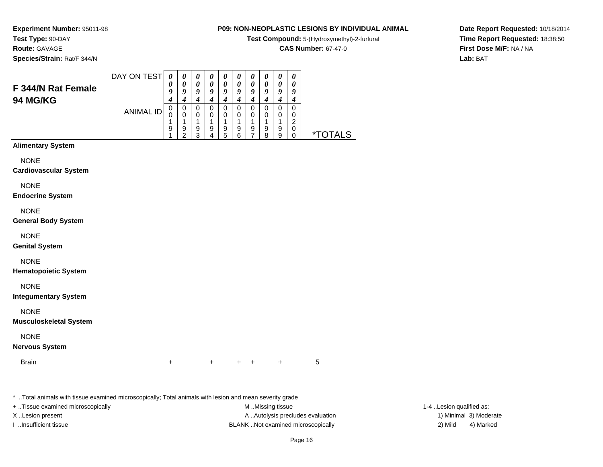**Test Compound:** 5-(Hydroxymethyl)-2-furfural

**CAS Number:** 67-47-0

**Date Report Requested:** 10/18/2014**Time Report Requested:** 18:38:50**First Dose M/F:** NA / NA**Lab:** BAT

**Experiment Number:** 95011-98**Test Type:** 90-DAY**Route:** GAVAGE**Species/Strain:** Rat/F 344/N

|                                       | DAY ON TEST | U       | $\boldsymbol{\theta}$ | $\boldsymbol{\theta}$ | U<br>0 | U<br>0 | U      | $\boldsymbol{\theta}$<br>0 | $\boldsymbol{\theta}$<br>0 | $\boldsymbol{\theta}$<br>$\boldsymbol{\theta}$ | 0       |                    |
|---------------------------------------|-------------|---------|-----------------------|-----------------------|--------|--------|--------|----------------------------|----------------------------|------------------------------------------------|---------|--------------------|
| F 344/N Rat Female<br><b>94 MG/KG</b> |             | g       | O                     | 9                     | O      | 9      | o      | 9<br>4                     | 9                          | 9<br>-                                         | o<br>-, |                    |
|                                       | ANIMAL ID   | 0<br>L. | 0                     | 0<br>O                |        | 0<br>0 |        | 0                          |                            | 0                                              | 0<br>◠  |                    |
|                                       |             | 9       | 9<br>◠                | 9<br>າ                | 9      | 9<br>5 | 9<br>ĥ | 9                          | 9<br>я                     | 9<br>9                                         | 0       | TAI S<br>$\star^-$ |

# **Alimentary System**

NONE

**Cardiovascular System**

NONE

**Endocrine System**

NONE

**General Body System**

NONE

**Genital System**

NONE

**Hematopoietic System**

NONE

**Integumentary System**

NONE

**Musculoskeletal System**

NONE

**Nervous System**

**Brain** 

n  $+$ <sup>+</sup> <sup>+</sup> <sup>+</sup> + 5

\* ..Total animals with tissue examined microscopically; Total animals with lesion and mean severity grade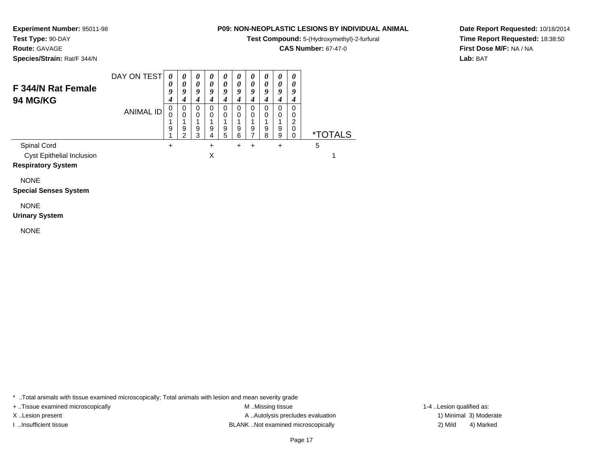**Test Compound:** 5-(Hydroxymethyl)-2-furfural

**CAS Number:** 67-47-0

**Date Report Requested:** 10/18/2014**Time Report Requested:** 18:38:50**First Dose M/F:** NA / NA**Lab:** BAT

**Species/Strain:** Rat/F 344/N

**Test Type:** 90-DAY**Route:** GAVAGE

**Experiment Number:** 95011-98

### DAY ON TEST**F 344/N Rat Female94 MG/KG**ANIMAL ID*0 0 9 4* 0 0 1 9 1 $\ddot{}$ *0 0 9 4* 0 0 1 9 2*0 0 9 4* 0 0 1 9 3*0 0 9 4* 0 0 1 9 4 $\ddot{}$ *0 0 9 4* 0 0 1 9 5*0 0 9 4* 0 0 1 9 6 $\ddot{}$ *0 0 9 4* 0 0 1 9 7 $\ddot{}$ *0 0 9 4* 0 0 1 9 8*0 0 9 4* 0 0 1 9 9 $\ddot{}$ *0 0 9 4* 0 0 2 0 $\check{\mathrm{o}}$ 0 \*TOTALSSpinal Cord $\alpha$  + <sup>+</sup> <sup>+</sup> <sup>+</sup> + 5 Cyst Epithelial Inclusionn X  $\mathsf{X}$  and  $\mathsf{Y}$  are the set of  $\mathsf{Y}$

## **Respiratory System**

NONE

# **Special Senses System**

# NONE

**Urinary System**

NONE

\* ..Total animals with tissue examined microscopically; Total animals with lesion and mean severity grade

+ ..Tissue examined microscopically examined microscopically examined as: M ..Missing tissue 1-4 ..Lesion qualified as: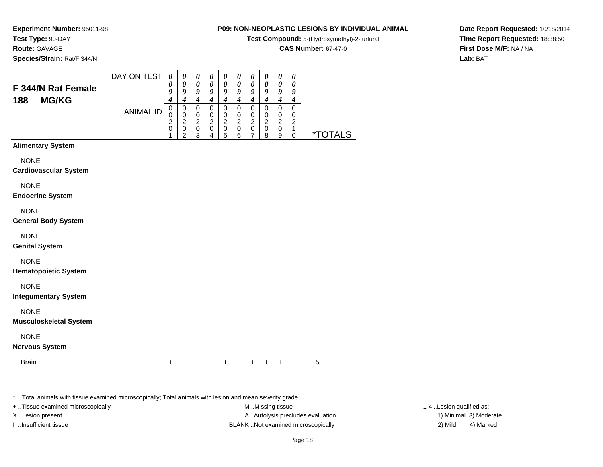**Test Compound:** 5-(Hydroxymethyl)-2-furfural

**CAS Number:** 67-47-0

**Date Report Requested:** 10/18/2014**Time Report Requested:** 18:38:50**First Dose M/F:** NA / NA**Lab:** BAT

**Experiment Number:** 95011-98**Test Type:** 90-DAY**Route:** GAVAGE**Species/Strain:** Rat/F 344/N

|                                           | DAY ON TEST | 0      | $\theta$        | $\boldsymbol{\theta}$ | $\boldsymbol{\theta}$ | $\boldsymbol{\theta}$ | U      | U        | U            | 0      |   |                |  |
|-------------------------------------------|-------------|--------|-----------------|-----------------------|-----------------------|-----------------------|--------|----------|--------------|--------|---|----------------|--|
| F 344/N Rat Female<br><b>MG/KG</b><br>188 |             | U      | 0               | 0                     | 0                     | 0                     | 0      | $\theta$ |              |        |   |                |  |
|                                           |             | 9      | Q               | Q                     | a                     | Q                     | o      | Q        | u            | o      |   |                |  |
|                                           |             | 4      |                 | 4                     |                       | 4                     |        | 4        |              |        |   |                |  |
|                                           | ANIMAL ID   | U      | 0               | 0                     | O                     | 0                     | O      | 0        | O            | 0      |   |                |  |
|                                           |             | υ<br>◠ | 0<br>◠          | 0                     | 0                     | 0                     | Ω<br>◠ | 0        | ◠            | 0      | ົ |                |  |
|                                           |             | ∠      |                 | າ                     | ⌒                     | າ<br>∠                |        | ົ<br>∠   |              | ົ      |   |                |  |
|                                           |             | υ      | 0<br>$\sqrt{2}$ | 0<br>◠                | 0                     | 0<br>5                | ี่ค    | 0        | O<br>$\circ$ | 0<br>9 |   | ינ <i>ו</i> ד* |  |
|                                           |             |        |                 |                       |                       |                       |        |          |              |        |   |                |  |

# **Alimentary System**

NONE

**Cardiovascular System**

NONE

**Endocrine System**

NONE

**General Body System**

NONE

**Genital System**

NONE

**Hematopoietic System**

NONE

**Integumentary System**

NONE

**Musculoskeletal System**

NONE

**Nervous System**

**Brain** 

n  $+$ <sup>+</sup> <sup>+</sup> <sup>+</sup> + 5

\* ..Total animals with tissue examined microscopically; Total animals with lesion and mean severity grade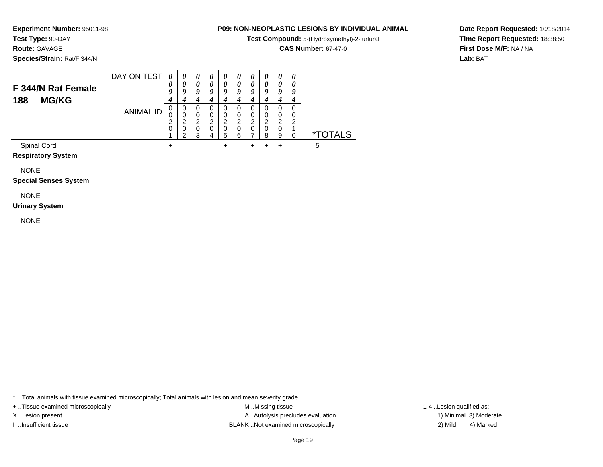**Test Compound:** 5-(Hydroxymethyl)-2-furfural

**CAS Number:** 67-47-0

**Date Report Requested:** 10/18/2014**Time Report Requested:** 18:38:50**First Dose M/F:** NA / NA**Lab:** BAT

**Test Type:** 90-DAY**Route:** GAVAGE

**Species/Strain:** Rat/F 344/N

**Experiment Number:** 95011-98

| F 344/N Rat Female<br><b>MG/KG</b><br>188 | DAY ON TEST | $\theta$<br>U<br>g<br>4 | 0<br>0<br>O           | $\boldsymbol{\theta}$<br>0<br>9 | $\boldsymbol{\theta}$<br>0<br>Q | $\boldsymbol{\theta}$<br>0<br>9<br>4 | $\boldsymbol{\theta}$<br>0<br>Q | 0<br>0<br>Q<br>4 | 0<br>0<br>o           | $\theta$<br>0<br>Q<br>4             | v           |                       |
|-------------------------------------------|-------------|-------------------------|-----------------------|---------------------------------|---------------------------------|--------------------------------------|---------------------------------|------------------|-----------------------|-------------------------------------|-------------|-----------------------|
|                                           | ANIMAL ID   | 0<br>0<br>⌒<br>ے<br>0   | 0<br>0<br>ົ<br>0<br>⌒ | 0<br>0<br>2<br>0<br>ર           | ົ                               | 0<br>0<br>2<br>0<br>5                | 0<br>0<br>2<br>0<br>6           | 0<br>0<br>2<br>0 | 0<br>0<br>ົ<br>0<br>8 | 0<br>0<br>ົ<br>$\epsilon$<br>0<br>9 | 0<br>0<br>◠ | <i><b>*TOTALS</b></i> |
| Spinal Cord                               |             | +                       |                       |                                 |                                 | ٠                                    |                                 |                  |                       |                                     |             | 5                     |

**Respiratory System**

NONE

**Special Senses System**

NONE

**Urinary System**

NONE

\* ..Total animals with tissue examined microscopically; Total animals with lesion and mean severity grade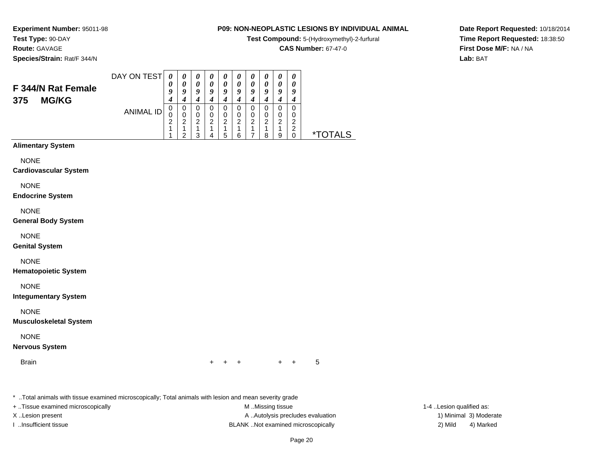**Test Compound:** 5-(Hydroxymethyl)-2-furfural

**CAS Number:** 67-47-0

**Date Report Requested:** 10/18/2014**Time Report Requested:** 18:38:50**First Dose M/F:** NA / NA**Lab:** BAT

**Experiment Number:** 95011-98**Test Type:** 90-DAY**Route:** GAVAGE**Species/Strain:** Rat/F 344/N

# **Alimentary System**

NONE

**Cardiovascular System**

NONE

**Endocrine System**

NONE

**General Body System**

NONE

**Genital System**

NONE

**Hematopoietic System**

NONE

**Integumentary System**

NONE

**Musculoskeletal System**

NONE

**Nervous System**

**Brain** n  $+$ 

<sup>+</sup> <sup>+</sup> <sup>+</sup> + 5

\* ..Total animals with tissue examined microscopically; Total animals with lesion and mean severity grade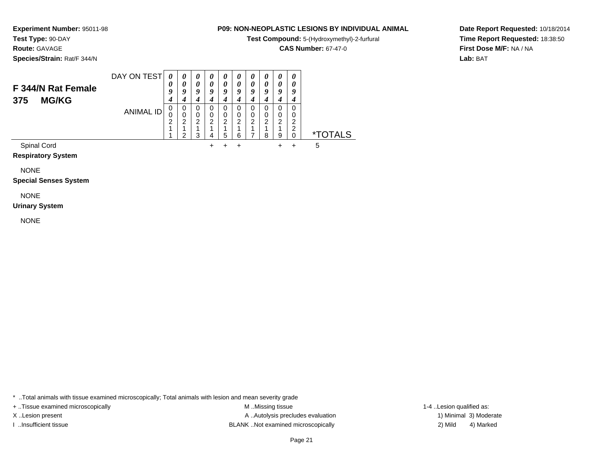**Test Compound:** 5-(Hydroxymethyl)-2-furfural

**CAS Number:** 67-47-0

**Date Report Requested:** 10/18/2014**Time Report Requested:** 18:38:50**First Dose M/F:** NA / NA**Lab:** BAT

**Test Type:** 90-DAY**Route:** GAVAGE**Species/Strain:** Rat/F 344/N

**Experiment Number:** 95011-98

### DAY ON TEST**F 344/N Rat Female375 MG/KG**ANIMAL ID*0 0 9 4*0<br>0<br>2<br>1 1*0 0 9 4* 0 0 2 1 2*0 0 9 4* 0 0 2 1 3*0 0 9 4* 0 0 2 1 4 $+$ *0 0 9 4* 0 0 2 1 5 $\ddot{}$ *0 0 9 4* 0 0 2 1 6 $\ddot{}$ *0 0 9 4* 0 0 2 1 7*0 0 9 4*0<br>0<br>2<br>1 8*0 0 9 4*0<br>0<br>2<br>1 9 $+$ *0 0 9 4* 0 0 22<br>^ 0 \*TOTALSSpinal Cord $\alpha$ <sup>+</sup> <sup>+</sup> <sup>+</sup> + 5

**Respiratory System**

NONE

**Special Senses System**

NONE

**Urinary System**

NONE

\* ..Total animals with tissue examined microscopically; Total animals with lesion and mean severity grade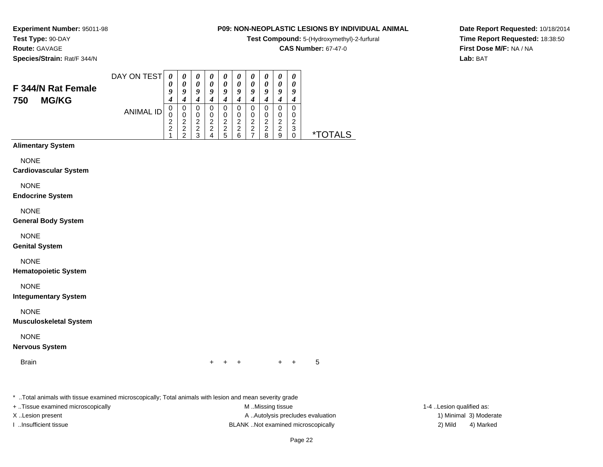**Test Compound:** 5-(Hydroxymethyl)-2-furfural

**CAS Number:** 67-47-0

**Date Report Requested:** 10/18/2014**Time Report Requested:** 18:38:50**First Dose M/F:** NA / NA**Lab:** BAT

**Experiment Number:** 95011-98**Test Type:** 90-DAY**Route:** GAVAGE**Species/Strain:** Rat/F 344/N

| F 344/N Rat Female<br><b>MG/KG</b><br>750 | DAY ON TEST | $\theta$<br>9    |                  | $\boldsymbol{\theta}$<br>o | U<br>o | U<br>U<br>O  | U<br>Q       | U<br>$\boldsymbol{\theta}$<br>q<br>4 | U<br>o                | 0<br>0<br>Q           | 0<br>0<br>o |           |
|-------------------------------------------|-------------|------------------|------------------|----------------------------|--------|--------------|--------------|--------------------------------------|-----------------------|-----------------------|-------------|-----------|
|                                           | ANIMAL ID   | υ<br>U<br>2<br>⌒ | 0<br>◠<br>ົ<br>ີ | 0<br>0<br>2<br>າ<br>ົ      | ◠<br>◠ | ົ<br>◠<br>г, | ົ<br>ົ<br>ĥ. | 0<br>0<br>2<br>2                     | O<br>0<br>⌒<br>◠<br>я | 0<br>0<br>ົ<br>ົ<br>9 | ◠<br>3      | ALS<br>∗⊤ |

# **Alimentary System**

NONE

**Cardiovascular System**

NONE

**Endocrine System**

NONE

**General Body System**

NONE

**Genital System**

NONE

**Hematopoietic System**

NONE

**Integumentary System**

NONE

**Musculoskeletal System**

NONE

**Nervous System**

**Brain** n  $+$ 

<sup>+</sup> <sup>+</sup> <sup>+</sup> + 5

\* ..Total animals with tissue examined microscopically; Total animals with lesion and mean severity grade

+ ..Tissue examined microscopically examined microscopically examined as:  $M$  ..Missing tissue 1-4 ..Lesion qualified as: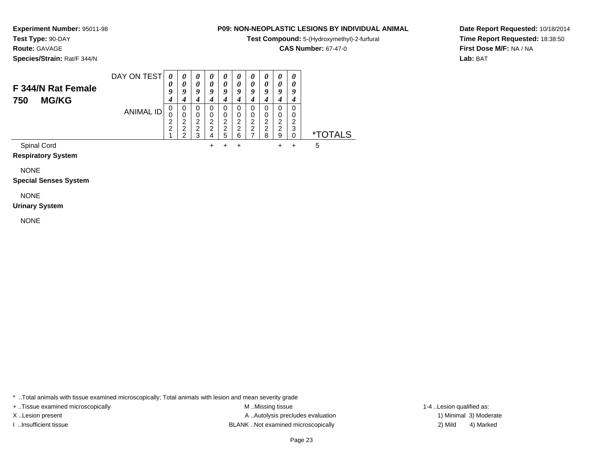**Test Compound:** 5-(Hydroxymethyl)-2-furfural

**CAS Number:** 67-47-0

**Date Report Requested:** 10/18/2014**Time Report Requested:** 18:38:50**First Dose M/F:** NA / NA**Lab:** BAT

**Species/Strain:** Rat/F 344/N

**Test Type:** 90-DAY**Route:** GAVAGE

**Experiment Number:** 95011-98

### DAY ON TEST**F 344/N Rat Female750 MG/KG**ANIMAL ID*0 0 9 4* 0 0 2 2 1*0 0 9 4* 0 0 2 2 2*0 0 9 4* 0 0 2 2 3*0 0 9 4* 0 0 2 2 4 $+$ *0 0 9 4* 0 0 2 2 5 $\ddot{}$ *0 0 9 4* 0 0 2 2 6 $\ddot{}$ *0 0 9 4* 0 0 2 2 7*0 0 9 4* 0 0 2 2 8*0 0 9 4* 0 0 2 2 9 $+$ *0 0 9 4* 0 0 2 3 $\check{\mathrm{o}}$ 0 \*TOTALSSpinal Cord

<sup>+</sup> <sup>+</sup> <sup>+</sup> + 5

 $\alpha$ **Respiratory System**

NONE

**Special Senses System**

NONE

**Urinary System**

NONE

\* ..Total animals with tissue examined microscopically; Total animals with lesion and mean severity grade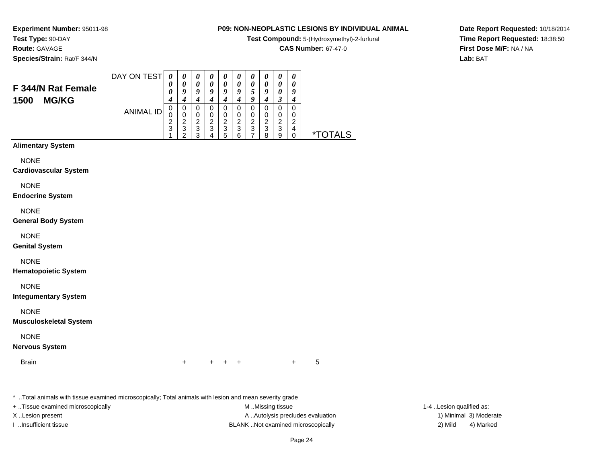**Test Compound:** 5-(Hydroxymethyl)-2-furfural

**CAS Number:** 67-47-0

**Date Report Requested:** 10/18/2014**Time Report Requested:** 18:38:50**First Dose M/F:** NA / NA**Lab:** BAT

**Experiment Number:** 95011-98**Test Type:** 90-DAY**Route:** GAVAGE**Species/Strain:** Rat/F 344/N

|                                            | DAY ON TEST | 0      | $\boldsymbol{v}$      | $\boldsymbol{\theta}$ | $\boldsymbol{\theta}$ | U | U | $\boldsymbol{\theta}$ | $\boldsymbol{\theta}$ | $\boldsymbol{\theta}$ | $\boldsymbol{\theta}$ |                |
|--------------------------------------------|-------------|--------|-----------------------|-----------------------|-----------------------|---|---|-----------------------|-----------------------|-----------------------|-----------------------|----------------|
| F 344/N Rat Female<br><b>MG/KG</b><br>1500 |             | U      | $\boldsymbol{\theta}$ | 0                     | 0                     | 0 |   | 0                     | 0                     | 0                     | 0                     |                |
|                                            |             | 0      | υ                     | 9                     | 9                     | Q | q | C.                    | Q                     | 0                     | 9                     |                |
|                                            |             |        |                       |                       |                       |   |   | a                     |                       |                       |                       |                |
|                                            | ANIMAL ID   | U      | 0                     | 0                     | O                     | 0 |   | 0                     |                       | 0                     | 0                     |                |
|                                            |             | v      |                       | 0                     | 0                     | 0 |   | 0                     | 0                     | 0                     | 0                     |                |
|                                            |             | ◠<br>∠ |                       | 2                     | ◠                     | າ | ⌒ | ົ<br>۷                | ◠                     | ⌒                     | ◠                     |                |
|                                            |             | 3      | -2<br>٠J              | 3                     | 2<br>J                | 3 | 3 | 3                     | 3                     | 3                     | 4                     |                |
|                                            |             |        |                       | ◠                     |                       | b | 6 |                       | 8                     | 9                     |                       | $*$ Tr $\cdot$ |

# **Alimentary System**

NONE

**Cardiovascular System**

NONE

**Endocrine System**

NONE

**General Body System**

NONE

**Genital System**

NONE

**Hematopoietic System**

NONE

**Integumentary System**

NONE

**Musculoskeletal System**

NONE

**Nervous System**

**Brain** 

n  $+$ <sup>+</sup> <sup>+</sup> <sup>+</sup> + 5

\* ..Total animals with tissue examined microscopically; Total animals with lesion and mean severity grade